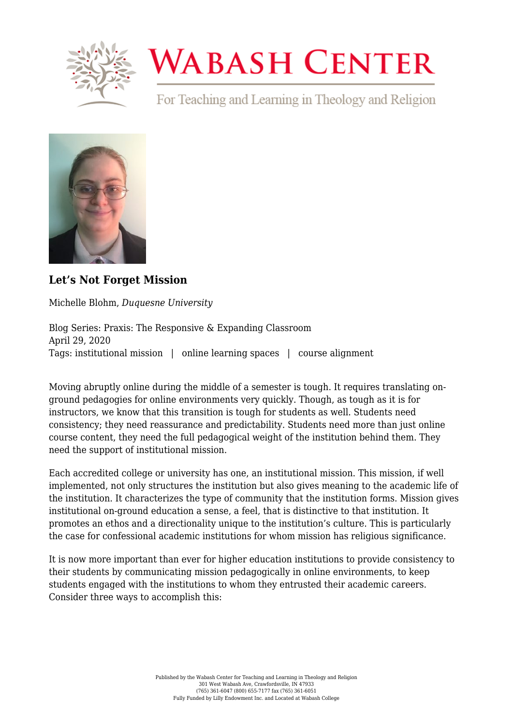

# **WABASH CENTER**

For Teaching and Learning in Theology and Religion



## **[Let's Not Forget Mission](https://www.wabashcenter.wabash.edu/2020/04/lets-not-forget-mission/)**

Michelle Blohm, *Duquesne University*

Blog Series: Praxis: The Responsive & Expanding Classroom April 29, 2020 Tags: institutional mission | online learning spaces | course alignment

Moving abruptly online during the middle of a semester is tough. It requires translating onground pedagogies for online environments very quickly. Though, as tough as it is for instructors, we know that this transition is tough for students as well. Students need consistency; they need reassurance and predictability. Students need more than just online course content, they need the full pedagogical weight of the institution behind them. They need the support of institutional mission.

Each accredited college or university has one, an institutional mission. This mission, if well implemented, not only structures the institution but also gives meaning to the academic life of the institution. It characterizes the type of community that the institution forms. Mission gives institutional on-ground education a sense, a feel, that is distinctive to that institution. It promotes an ethos and a directionality unique to the institution's culture. This is particularly the case for confessional academic institutions for whom mission has religious significance.

It is now more important than ever for higher education institutions to provide consistency to their students by communicating mission pedagogically in online environments, to keep students engaged with the institutions to whom they entrusted their academic careers. Consider three ways to accomplish this: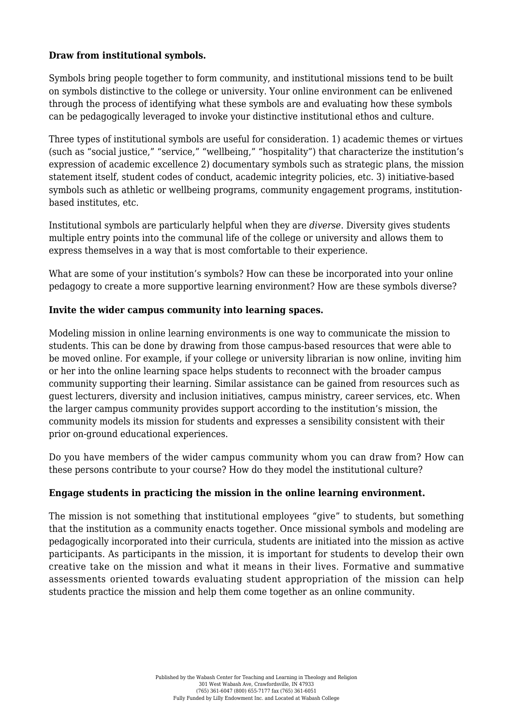#### **Draw from institutional symbols.**

Symbols bring people together to form community, and institutional missions tend to be built on symbols distinctive to the college or university. Your online environment can be enlivened through the process of identifying what these symbols are and evaluating how these symbols can be pedagogically leveraged to invoke your distinctive institutional ethos and culture.

Three types of institutional symbols are useful for consideration. 1) academic themes or virtues (such as "social justice," "service," "wellbeing," "hospitality") that characterize the institution's expression of academic excellence 2) documentary symbols such as strategic plans, the mission statement itself, student codes of conduct, academic integrity policies, etc. 3) initiative-based symbols such as athletic or wellbeing programs, community engagement programs, institutionbased institutes, etc.

Institutional symbols are particularly helpful when they are *diverse*. Diversity gives students multiple entry points into the communal life of the college or university and allows them to express themselves in a way that is most comfortable to their experience.

What are some of your institution's symbols? How can these be incorporated into your online pedagogy to create a more supportive learning environment? How are these symbols diverse?

### **Invite the wider campus community into learning spaces.**

Modeling mission in online learning environments is one way to communicate the mission to students. This can be done by drawing from those campus-based resources that were able to be moved online. For example, if your college or university librarian is now online, inviting him or her into the online learning space helps students to reconnect with the broader campus community supporting their learning. Similar assistance can be gained from resources such as guest lecturers, diversity and inclusion initiatives, campus ministry, career services, etc. When the larger campus community provides support according to the institution's mission, the community models its mission for students and expresses a sensibility consistent with their prior on-ground educational experiences.

Do you have members of the wider campus community whom you can draw from? How can these persons contribute to your course? How do they model the institutional culture?

#### **Engage students in practicing the mission in the online learning environment.**

The mission is not something that institutional employees "give" to students, but something that the institution as a community enacts together. Once missional symbols and modeling are pedagogically incorporated into their curricula, students are initiated into the mission as active participants. As participants in the mission, it is important for students to develop their own creative take on the mission and what it means in their lives. Formative and summative assessments oriented towards evaluating student appropriation of the mission can help students practice the mission and help them come together as an online community.